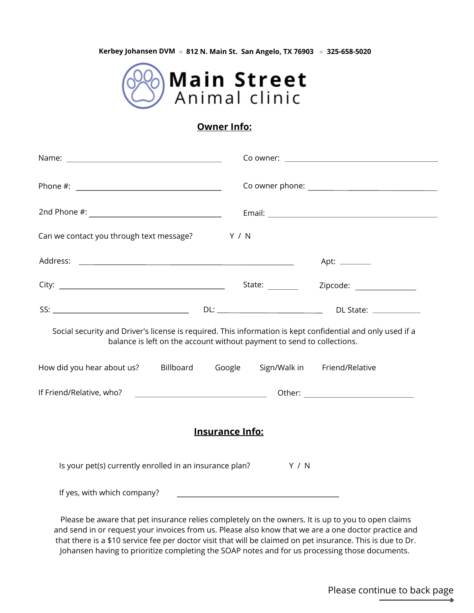**Kerbey Johansen DVM 812 N. Main St. San Angelo, TX 76903 325-658-5020**



## **Owner Info:**

| Can we contact you through text message? Y / N                                                                                                                                                                                                                   |                                                                                                                                                                                                                                      |                                   |  |  |
|------------------------------------------------------------------------------------------------------------------------------------------------------------------------------------------------------------------------------------------------------------------|--------------------------------------------------------------------------------------------------------------------------------------------------------------------------------------------------------------------------------------|-----------------------------------|--|--|
|                                                                                                                                                                                                                                                                  |                                                                                                                                                                                                                                      | Apt: $\_\_\_\_\_\_\_\_\_\_\_\_\_$ |  |  |
|                                                                                                                                                                                                                                                                  |                                                                                                                                                                                                                                      |                                   |  |  |
|                                                                                                                                                                                                                                                                  |                                                                                                                                                                                                                                      |                                   |  |  |
| Social security and Driver's license is required. This information is kept confidential and only used if a<br>balance is left on the account without payment to send to collections.<br>How did you hear about us? Billboard Google Sign/Walk in Friend/Relative |                                                                                                                                                                                                                                      |                                   |  |  |
|                                                                                                                                                                                                                                                                  |                                                                                                                                                                                                                                      |                                   |  |  |
|                                                                                                                                                                                                                                                                  | <b>Insurance Info:</b>                                                                                                                                                                                                               |                                   |  |  |
| Is your pet(s) currently enrolled in an insurance plan? Y / N                                                                                                                                                                                                    |                                                                                                                                                                                                                                      |                                   |  |  |
| If yes, with which company?                                                                                                                                                                                                                                      | <u> 1989 - Johann Stoff, deutscher Stoffen und der Stoffen und der Stoffen und der Stoffen und der Stoffen und der Stoffen und der Stoffen und der Stoffen und der Stoffen und der Stoffen und der Stoffen und der Stoffen und d</u> |                                   |  |  |
| Please be aware that pet insurance relies completely on the owners. It is up to you to open claims                                                                                                                                                               |                                                                                                                                                                                                                                      |                                   |  |  |

and send in or request your invoices from us. Please also know that we are a one doctor practice and that there is a \$10 service fee per doctor visit that will be claimed on pet insurance. This is due to Dr. Johansen having to prioritize completing the SOAP notes and for us processing those documents.

Please continue to back page